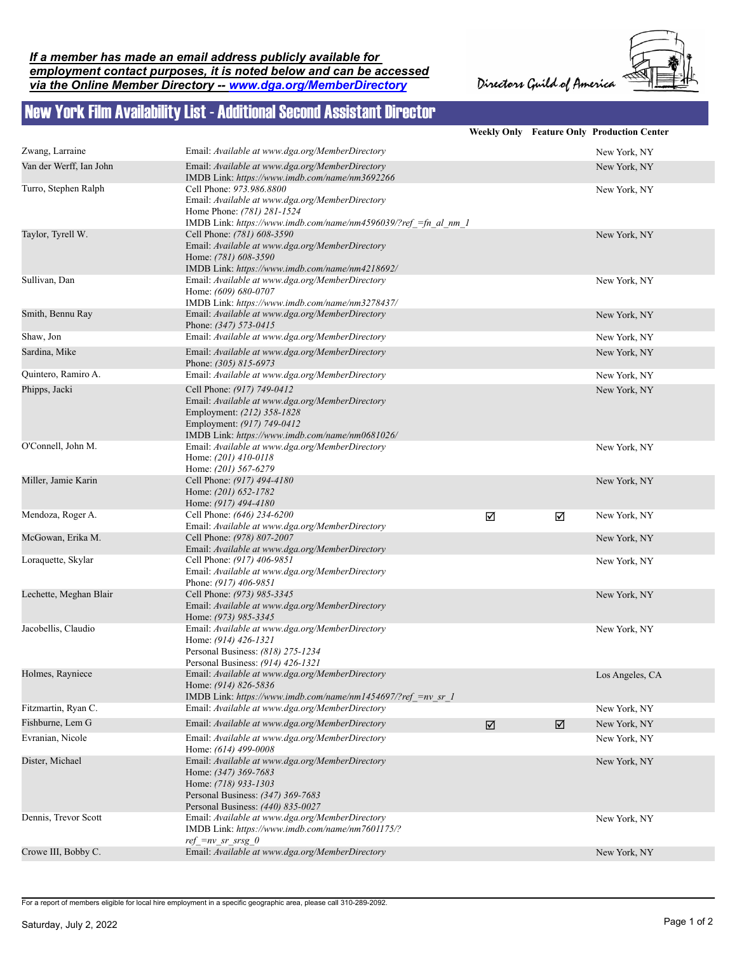## *If a member has made an email address publicly available for employment contact purposes, it is noted below and can be accessed via the Online Member Directory -- www.dga.org/MemberDirectory*

Directors Guild of America



## New York Film Availability List - Additional Second Assistant Director

|                         |                                                                                                                                                                                              |                       |   | <b>Weekly Only Feature Only Production Center</b> |
|-------------------------|----------------------------------------------------------------------------------------------------------------------------------------------------------------------------------------------|-----------------------|---|---------------------------------------------------|
| Zwang, Larraine         | Email: Available at www.dga.org/MemberDirectory                                                                                                                                              |                       |   | New York, NY                                      |
| Van der Werff, Ian John | Email: Available at www.dga.org/MemberDirectory<br>IMDB Link: https://www.imdb.com/name/nm3692266                                                                                            |                       |   | New York, NY                                      |
| Turro, Stephen Ralph    | Cell Phone: 973.986.8800<br>Email: Available at www.dga.org/MemberDirectory<br>Home Phone: (781) 281-1524<br>IMDB Link: https://www.imdb.com/name/nm4596039/?ref =fn al nm 1                 |                       |   | New York, NY                                      |
| Taylor, Tyrell W.       | Cell Phone: (781) 608-3590<br>Email: Available at www.dga.org/MemberDirectory<br>Home: (781) 608-3590<br>IMDB Link: https://www.imdb.com/name/nm4218692/                                     |                       |   | New York, NY                                      |
| Sullivan, Dan           | Email: Available at www.dga.org/MemberDirectory<br>Home: (609) 680-0707<br>IMDB Link: https://www.imdb.com/name/nm3278437/                                                                   |                       |   | New York, NY                                      |
| Smith, Bennu Ray        | Email: Available at www.dga.org/MemberDirectory<br>Phone: (347) 573-0415                                                                                                                     |                       |   | New York, NY                                      |
| Shaw, Jon               | Email: Available at www.dga.org/MemberDirectory                                                                                                                                              |                       |   | New York, NY                                      |
| Sardina, Mike           | Email: Available at www.dga.org/MemberDirectory<br>Phone: (305) 815-6973                                                                                                                     |                       |   | New York, NY                                      |
| Quintero, Ramiro A.     | Email: Available at www.dga.org/MemberDirectory                                                                                                                                              |                       |   | New York, NY                                      |
| Phipps, Jacki           | Cell Phone: (917) 749-0412<br>Email: Available at www.dga.org/MemberDirectory<br>Employment: (212) 358-1828<br>Employment: (917) 749-0412<br>IMDB Link: https://www.imdb.com/name/nm0681026/ |                       |   | New York, NY                                      |
| O'Connell, John M.      | Email: Available at www.dga.org/MemberDirectory<br>Home: (201) 410-0118<br>Home: (201) 567-6279                                                                                              |                       |   | New York, NY                                      |
| Miller, Jamie Karin     | Cell Phone: (917) 494-4180<br>Home: (201) 652-1782<br>Home: (917) 494-4180                                                                                                                   |                       |   | New York, NY                                      |
| Mendoza, Roger A.       | Cell Phone: (646) 234-6200<br>Email: Available at www.dga.org/MemberDirectory                                                                                                                | ☑                     | ☑ | New York, NY                                      |
| McGowan, Erika M.       | Cell Phone: (978) 807-2007<br>Email: Available at www.dga.org/MemberDirectory                                                                                                                |                       |   | New York, NY                                      |
| Loraquette, Skylar      | Cell Phone: (917) 406-9851<br>Email: Available at www.dga.org/MemberDirectory<br>Phone: (917) 406-9851                                                                                       |                       |   | New York, NY                                      |
| Lechette, Meghan Blair  | Cell Phone: (973) 985-3345<br>Email: Available at www.dga.org/MemberDirectory<br>Home: (973) 985-3345                                                                                        |                       |   | New York, NY                                      |
| Jacobellis, Claudio     | Email: Available at www.dga.org/MemberDirectory<br>Home: (914) 426-1321<br>Personal Business: (818) 275-1234<br>Personal Business: (914) 426-1321                                            |                       |   | New York, NY                                      |
| Holmes, Rayniece        | Email: Available at www.dga.org/MemberDirectory<br>Home: (914) 826-5836<br>IMDB Link: https://www.imdb.com/name/nm1454697/?ref =nv sr 1                                                      |                       |   | Los Angeles, CA                                   |
| Fitzmartin, Ryan C.     | Email: Available at www.dga.org/MemberDirectory                                                                                                                                              |                       |   | New York, NY                                      |
| Fishburne, Lem G        | Email: Available at www.dga.org/MemberDirectory                                                                                                                                              | $\boxed{\mathcal{N}}$ | ☑ | New York, NY                                      |
| Evranian, Nicole        | Email: Available at www.dga.org/MemberDirectory<br>Home: (614) 499-0008                                                                                                                      |                       |   | New York, NY                                      |
| Dister, Michael         | Email: Available at www.dga.org/MemberDirectory<br>Home: (347) 369-7683<br>Home: (718) 933-1303<br>Personal Business: (347) 369-7683<br>Personal Business: (440) 835-0027                    |                       |   | New York, NY                                      |
| Dennis, Trevor Scott    | Email: Available at www.dga.org/MemberDirectory<br>IMDB Link: https://www.imdb.com/name/nm7601175/?<br>$ref\_=nv\_sr\_srsg_0$                                                                |                       |   | New York, NY                                      |
| Crowe III, Bobby C.     | Email: Available at www.dga.org/MemberDirectory                                                                                                                                              |                       |   | New York, NY                                      |
|                         |                                                                                                                                                                                              |                       |   |                                                   |

For a report of members eligible for local hire employment in a specific geographic area, please call 310-289-2092.